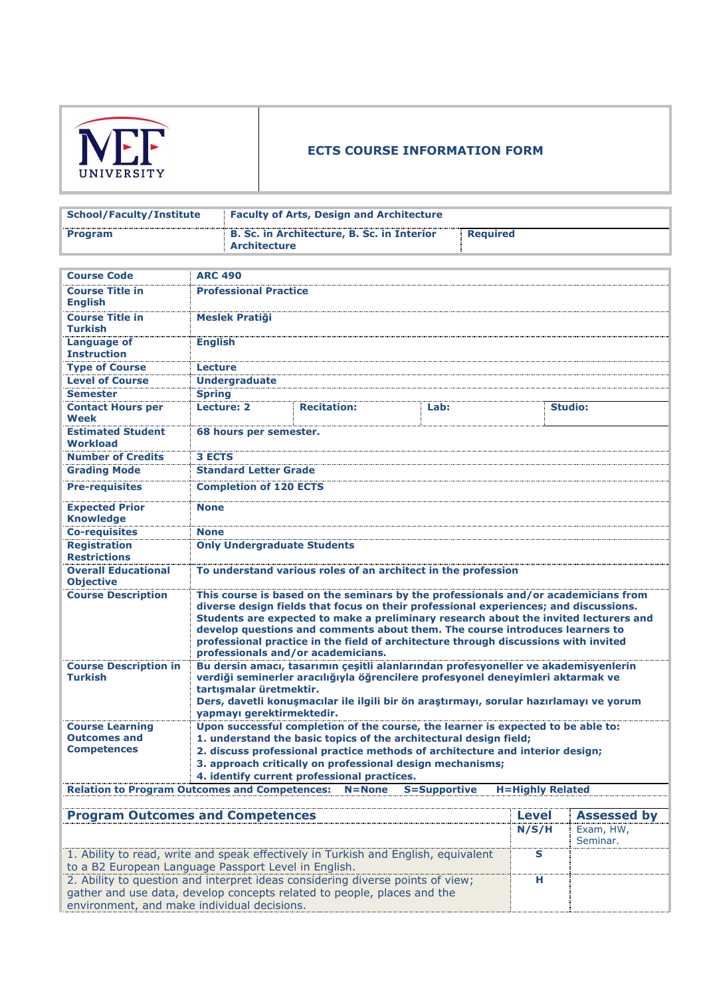

| School/Faculty/Institute | <b>Faculty of Arts, Design and Architecture</b>                   |          |
|--------------------------|-------------------------------------------------------------------|----------|
| <b>Program</b>           | B. Sc. in Architecture, B. Sc. in Interior<br><b>Architecture</b> | Reauired |

| <b>Course Code</b>                                                                                     | <b>ARC 490</b>                                                                                           |                                                                                        |      |                    |  |  |
|--------------------------------------------------------------------------------------------------------|----------------------------------------------------------------------------------------------------------|----------------------------------------------------------------------------------------|------|--------------------|--|--|
| <b>Course Title in</b>                                                                                 | <b>Professional Practice</b>                                                                             |                                                                                        |      |                    |  |  |
| <b>English</b>                                                                                         |                                                                                                          |                                                                                        |      |                    |  |  |
| <b>Course Title in</b>                                                                                 | <b>Meslek Pratiği</b>                                                                                    |                                                                                        |      |                    |  |  |
| <b>Turkish</b>                                                                                         |                                                                                                          |                                                                                        |      |                    |  |  |
| <b>Language of</b>                                                                                     | <b>English</b>                                                                                           |                                                                                        |      |                    |  |  |
| <b>Instruction</b>                                                                                     |                                                                                                          |                                                                                        |      |                    |  |  |
| <b>Type of Course</b>                                                                                  | Lecture                                                                                                  |                                                                                        |      |                    |  |  |
| <b>Level of Course</b>                                                                                 | <b>Undergraduate</b>                                                                                     |                                                                                        |      |                    |  |  |
| <b>Semester</b>                                                                                        | <b>Spring</b>                                                                                            |                                                                                        |      |                    |  |  |
| <b>Contact Hours per</b>                                                                               | <b>Lecture: 2</b>                                                                                        | <b>Recitation:</b>                                                                     | Lab: | <b>Studio:</b>     |  |  |
| Week                                                                                                   |                                                                                                          |                                                                                        |      |                    |  |  |
| <b>Estimated Student</b>                                                                               | 68 hours per semester.                                                                                   |                                                                                        |      |                    |  |  |
| <b>Workload</b>                                                                                        |                                                                                                          |                                                                                        |      |                    |  |  |
| <b>Number of Credits</b>                                                                               | <b>3 ECTS</b>                                                                                            |                                                                                        |      |                    |  |  |
| <b>Grading Mode</b>                                                                                    | <b>Standard Letter Grade</b>                                                                             |                                                                                        |      |                    |  |  |
| <b>Pre-requisites</b>                                                                                  | <b>Completion of 120 ECTS</b>                                                                            |                                                                                        |      |                    |  |  |
|                                                                                                        | <b>None</b>                                                                                              |                                                                                        |      |                    |  |  |
| <b>Expected Prior</b><br><b>Knowledge</b>                                                              |                                                                                                          |                                                                                        |      |                    |  |  |
| <b>Co-requisites</b>                                                                                   | <b>None</b>                                                                                              |                                                                                        |      |                    |  |  |
| <b>Registration</b>                                                                                    | <b>Only Undergraduate Students</b>                                                                       |                                                                                        |      |                    |  |  |
| <b>Restrictions</b>                                                                                    |                                                                                                          |                                                                                        |      |                    |  |  |
| <b>Overall Educational</b>                                                                             |                                                                                                          |                                                                                        |      |                    |  |  |
| <b>Objective</b>                                                                                       | To understand various roles of an architect in the profession                                            |                                                                                        |      |                    |  |  |
| <b>Course Description</b>                                                                              | This course is based on the seminars by the professionals and/or academicians from                       |                                                                                        |      |                    |  |  |
|                                                                                                        | diverse design fields that focus on their professional experiences; and discussions.                     |                                                                                        |      |                    |  |  |
|                                                                                                        | Students are expected to make a preliminary research about the invited lecturers and                     |                                                                                        |      |                    |  |  |
|                                                                                                        | develop questions and comments about them. The course introduces learners to                             |                                                                                        |      |                    |  |  |
|                                                                                                        | professional practice in the field of architecture through discussions with invited                      |                                                                                        |      |                    |  |  |
| professionals and/or academicians.                                                                     |                                                                                                          |                                                                                        |      |                    |  |  |
| <b>Course Description in</b>                                                                           |                                                                                                          | Bu dersin amacı, tasarımın çeşitli alanlarından profesyoneller ve akademisyenlerin     |      |                    |  |  |
| <b>Turkish</b>                                                                                         | verdiği seminerler aracılığıyla öğrencilere profesyonel deneyimleri aktarmak ve                          |                                                                                        |      |                    |  |  |
|                                                                                                        | tartışmalar üretmektir.                                                                                  |                                                                                        |      |                    |  |  |
|                                                                                                        |                                                                                                          | Ders, davetli konuşmacılar ile ilgili bir ön araştırmayı, sorular hazırlamayı ve yorum |      |                    |  |  |
|                                                                                                        | yapmayı gerektirmektedir.                                                                                |                                                                                        |      |                    |  |  |
| <b>Course Learning</b>                                                                                 | Upon successful completion of the course, the learner is expected to be able to:                         |                                                                                        |      |                    |  |  |
| <b>Outcomes and</b><br><b>Competences</b>                                                              | 1. understand the basic topics of the architectural design field;                                        |                                                                                        |      |                    |  |  |
|                                                                                                        | 2. discuss professional practice methods of architecture and interior design;                            |                                                                                        |      |                    |  |  |
|                                                                                                        | 3. approach critically on professional design mechanisms;<br>4. identify current professional practices. |                                                                                        |      |                    |  |  |
|                                                                                                        |                                                                                                          | $N = None$                                                                             |      |                    |  |  |
| <b>Relation to Program Outcomes and Competences:</b><br><b>H=Highly Related</b><br><b>S=Supportive</b> |                                                                                                          |                                                                                        |      |                    |  |  |
|                                                                                                        |                                                                                                          |                                                                                        |      | <b>Assessed by</b> |  |  |
|                                                                                                        | <b>Program Outcomes and Competences</b><br>Level                                                         |                                                                                        |      |                    |  |  |

| <b>Program Outcomes and Competences</b>                                            | <b>Level</b> | <b>Assessed by</b> |
|------------------------------------------------------------------------------------|--------------|--------------------|
|                                                                                    | N/S/H        | Exam, HW,          |
|                                                                                    |              | Seminar.           |
| 1. Ability to read, write and speak effectively in Turkish and English, equivalent |              |                    |
| to a B2 European Language Passport Level in English.                               |              |                    |
| 2. Ability to question and interpret ideas considering diverse points of view;     |              |                    |
| gather and use data, develop concepts related to people, places and the            |              |                    |
| environment, and make individual decisions.                                        |              |                    |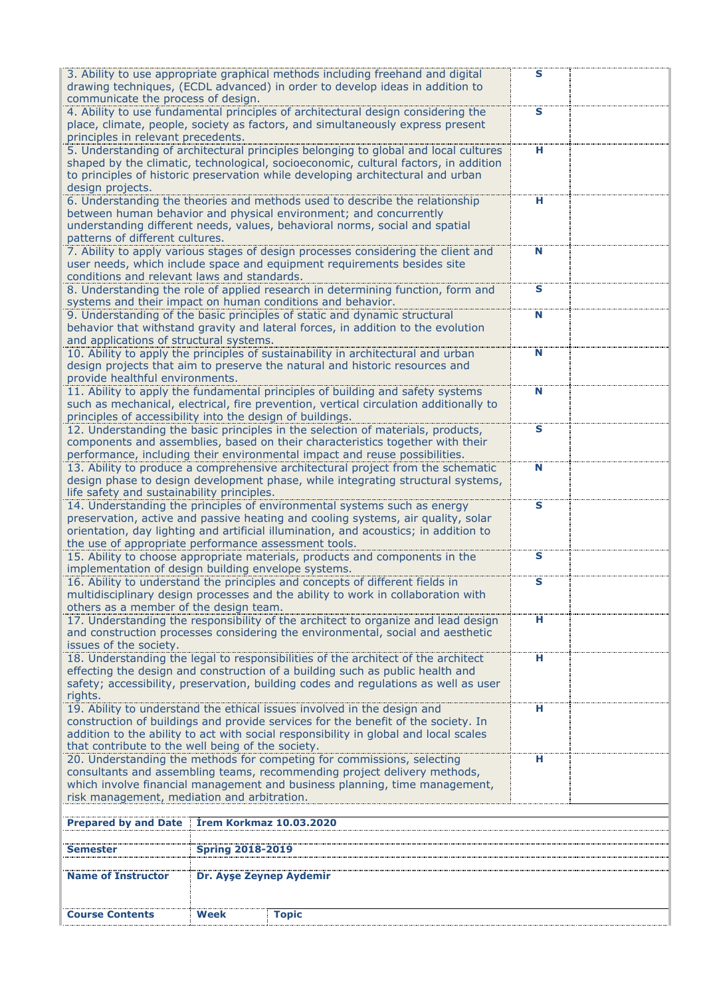| 3. Ability to use appropriate graphical methods including freehand and digital<br>s<br>drawing techniques, (ECDL advanced) in order to develop ideas in addition to<br>communicate the process of design.                                                                                                         |                         |                                                                                                                                                                                                                                                |   |  |  |
|-------------------------------------------------------------------------------------------------------------------------------------------------------------------------------------------------------------------------------------------------------------------------------------------------------------------|-------------------------|------------------------------------------------------------------------------------------------------------------------------------------------------------------------------------------------------------------------------------------------|---|--|--|
| 4. Ability to use fundamental principles of architectural design considering the<br>S<br>place, climate, people, society as factors, and simultaneously express present<br>principles in relevant precedents.                                                                                                     |                         |                                                                                                                                                                                                                                                |   |  |  |
| 5. Understanding of architectural principles belonging to global and local cultures<br>shaped by the climatic, technological, socioeconomic, cultural factors, in addition<br>to principles of historic preservation while developing architectural and urban<br>design projects.                                 | н                       |                                                                                                                                                                                                                                                |   |  |  |
| patterns of different cultures.                                                                                                                                                                                                                                                                                   |                         | 6. Understanding the theories and methods used to describe the relationship<br>between human behavior and physical environment; and concurrently<br>understanding different needs, values, behavioral norms, social and spatial                | н |  |  |
| conditions and relevant laws and standards.                                                                                                                                                                                                                                                                       |                         | 7. Ability to apply various stages of design processes considering the client and<br>user needs, which include space and equipment requirements besides site                                                                                   | N |  |  |
|                                                                                                                                                                                                                                                                                                                   |                         | 8. Understanding the role of applied research in determining function, form and<br>systems and their impact on human conditions and behavior.                                                                                                  | S |  |  |
| and applications of structural systems.                                                                                                                                                                                                                                                                           |                         | 9. Understanding of the basic principles of static and dynamic structural<br>behavior that withstand gravity and lateral forces, in addition to the evolution                                                                                  | N |  |  |
| provide healthful environments.                                                                                                                                                                                                                                                                                   |                         | 10. Ability to apply the principles of sustainability in architectural and urban<br>design projects that aim to preserve the natural and historic resources and                                                                                | N |  |  |
| principles of accessibility into the design of buildings.                                                                                                                                                                                                                                                         |                         | 11. Ability to apply the fundamental principles of building and safety systems<br>such as mechanical, electrical, fire prevention, vertical circulation additionally to                                                                        | N |  |  |
|                                                                                                                                                                                                                                                                                                                   |                         | 12. Understanding the basic principles in the selection of materials, products,<br>components and assemblies, based on their characteristics together with their<br>performance, including their environmental impact and reuse possibilities. | S |  |  |
| life safety and sustainability principles.                                                                                                                                                                                                                                                                        |                         | 13. Ability to produce a comprehensive architectural project from the schematic<br>design phase to design development phase, while integrating structural systems,                                                                             | N |  |  |
| 14. Understanding the principles of environmental systems such as energy<br>S<br>preservation, active and passive heating and cooling systems, air quality, solar<br>orientation, day lighting and artificial illumination, and acoustics; in addition to<br>the use of appropriate performance assessment tools. |                         |                                                                                                                                                                                                                                                |   |  |  |
| 15. Ability to choose appropriate materials, products and components in the<br>S<br>implementation of design building envelope systems.                                                                                                                                                                           |                         |                                                                                                                                                                                                                                                |   |  |  |
| 16. Ability to understand the principles and concepts of different fields in<br>S<br>multidisciplinary design processes and the ability to work in collaboration with<br>others as a member of the design team.                                                                                                   |                         |                                                                                                                                                                                                                                                |   |  |  |
| 17. Understanding the responsibility of the architect to organize and lead design<br>н<br>and construction processes considering the environmental, social and aesthetic<br>issues of the society.                                                                                                                |                         |                                                                                                                                                                                                                                                |   |  |  |
| 18. Understanding the legal to responsibilities of the architect of the architect<br>н<br>effecting the design and construction of a building such as public health and<br>safety; accessibility, preservation, building codes and regulations as well as user<br>rights.                                         |                         |                                                                                                                                                                                                                                                |   |  |  |
| 19. Ability to understand the ethical issues involved in the design and<br>н<br>construction of buildings and provide services for the benefit of the society. In<br>addition to the ability to act with social responsibility in global and local scales<br>that contribute to the well being of the society.    |                         |                                                                                                                                                                                                                                                |   |  |  |
| 20. Understanding the methods for competing for commissions, selecting<br>н<br>consultants and assembling teams, recommending project delivery methods,<br>which involve financial management and business planning, time management,<br>risk management, mediation and arbitration.                              |                         |                                                                                                                                                                                                                                                |   |  |  |
| <b>Irem Korkmaz 10.03.2020</b><br><b>Prepared by and Date</b>                                                                                                                                                                                                                                                     |                         |                                                                                                                                                                                                                                                |   |  |  |
|                                                                                                                                                                                                                                                                                                                   |                         |                                                                                                                                                                                                                                                |   |  |  |
| Semestei                                                                                                                                                                                                                                                                                                          | <b>Spring 2018-2019</b> |                                                                                                                                                                                                                                                |   |  |  |
| <b>Name of Instructor</b>                                                                                                                                                                                                                                                                                         | Dr. Ayşe Zeynep Aydemir |                                                                                                                                                                                                                                                |   |  |  |
| <b>Course Contents</b>                                                                                                                                                                                                                                                                                            | Week                    | <b>Topic</b>                                                                                                                                                                                                                                   |   |  |  |